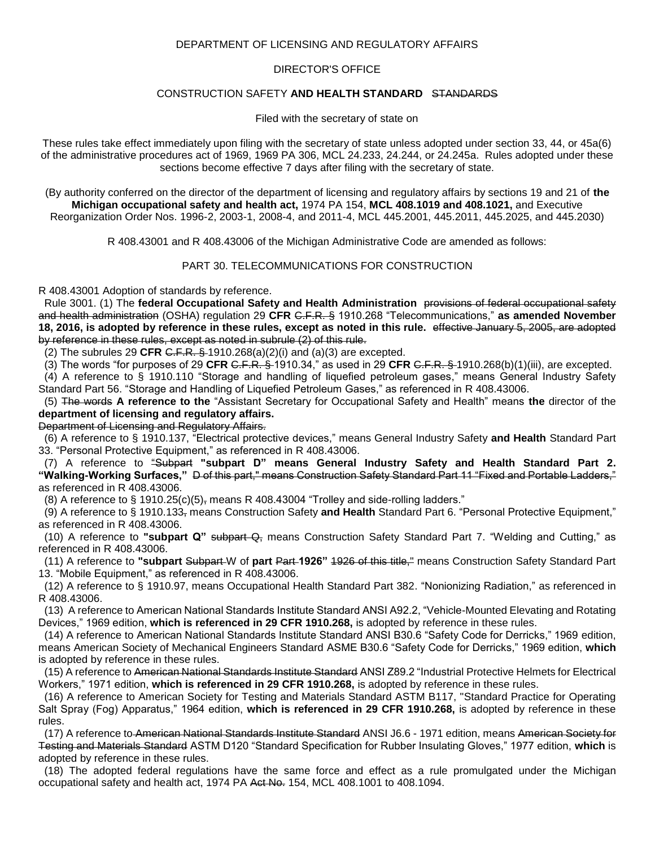## DEPARTMENT OF LICENSING AND REGULATORY AFFAIRS

## DIRECTOR'S OFFICE

## CONSTRUCTION SAFETY **AND HEALTH STANDARD** STANDARDS

Filed with the secretary of state on

These rules take effect immediately upon filing with the secretary of state unless adopted under section 33, 44, or 45a(6) of the administrative procedures act of 1969, 1969 PA 306, MCL 24.233, 24.244, or 24.245a. Rules adopted under these sections become effective 7 days after filing with the secretary of state.

(By authority conferred on the director of the department of licensing and regulatory affairs by sections 19 and 21 of **the Michigan occupational safety and health act,** 1974 PA 154, **MCL 408.1019 and 408.1021,** and Executive Reorganization Order Nos. 1996-2, 2003-1, 2008-4, and 2011-4, MCL 445.2001, 445.2011, 445.2025, and 445.2030)

R 408.43001 and R 408.43006 of the Michigan Administrative Code are amended as follows:

## PART 30. TELECOMMUNICATIONS FOR CONSTRUCTION

R 408.43001 Adoption of standards by reference.

 Rule 3001. (1) The **federal Occupational Safety and Health Administration** provisions of federal occupational safety and health administration (OSHA) regulation 29 **CFR** C.F.R. § 1910.268 "Telecommunications," **as amended November 18, 2016, is adopted by reference in these rules, except as noted in this rule.** effective January 5, 2005, are adopted by reference in these rules, except as noted in subrule (2) of this rule.

(2) The subrules 29 **CFR** C.F.R. § 1910.268(a)(2)(i) and (a)(3) are excepted.

(3) The words "for purposes of 29 **CFR** C.F.R. § 1910.34," as used in 29 **CFR** C.F.R. § 1910.268(b)(1)(iii), are excepted.

 (4) A reference to § 1910.110 "Storage and handling of liquefied petroleum gases," means General Industry Safety Standard Part 56. "Storage and Handling of Liquefied Petroleum Gases," as referenced in R 408.43006.

 (5) The words **A reference to the** "Assistant Secretary for Occupational Safety and Health" means **the** director of the **department of licensing and regulatory affairs.**

Department of Licensing and Regulatory Affairs.

 (6) A reference to § 1910.137, "Electrical protective devices," means General Industry Safety **and Health** Standard Part 33. "Personal Protective Equipment," as referenced in R 408.43006.

 (7) A reference to "Subpart **"subpart D" means General Industry Safety and Health Standard Part 2. "Walking-Working Surfaces,"** D of this part," means Construction Safety Standard Part 11 "Fixed and Portable Ladders," as referenced in R 408.43006.

(8) A reference to § 1910.25(c)(5), means R 408.43004 "Trolley and side-rolling ladders."

 (9) A reference to § 1910.133, means Construction Safety **and Health** Standard Part 6. "Personal Protective Equipment," as referenced in R 408.43006.

(10) A reference to "subpart Q" subpart Q, means Construction Safety Standard Part 7. "Welding and Cutting," as referenced in R 408.43006.

 (11) A reference to **"subpart** Subpart W of **part** Part **1926"** 1926 of this title," means Construction Safety Standard Part 13. "Mobile Equipment," as referenced in R 408.43006.

 (12) A reference to § 1910.97, means Occupational Health Standard Part 382. "Nonionizing Radiation," as referenced in R 408.43006.

 (13) A reference to American National Standards Institute Standard ANSI A92.2, "Vehicle-Mounted Elevating and Rotating Devices," 1969 edition, **which is referenced in 29 CFR 1910.268,** is adopted by reference in these rules.

 (14) A reference to American National Standards Institute Standard ANSI B30.6 "Safety Code for Derricks," 1969 edition, means American Society of Mechanical Engineers Standard ASME B30.6 "Safety Code for Derricks," 1969 edition, **which**  is adopted by reference in these rules.

 (15) A reference to American National Standards Institute Standard ANSI Z89.2 "Industrial Protective Helmets for Electrical Workers," 1971 edition, **which is referenced in 29 CFR 1910.268,** is adopted by reference in these rules.

 (16) A reference to American Society for Testing and Materials Standard ASTM B117, "Standard Practice for Operating Salt Spray (Fog) Apparatus," 1964 edition, **which is referenced in 29 CFR 1910.268,** is adopted by reference in these rules.

 (17) A reference to American National Standards Institute Standard ANSI J6.6 - 1971 edition, means American Society for Testing and Materials Standard ASTM D120 "Standard Specification for Rubber Insulating Gloves," 1977 edition, **which** is adopted by reference in these rules.

 (18) The adopted federal regulations have the same force and effect as a rule promulgated under the Michigan occupational safety and health act, 1974 PA Act No. 154, MCL 408.1001 to 408.1094.